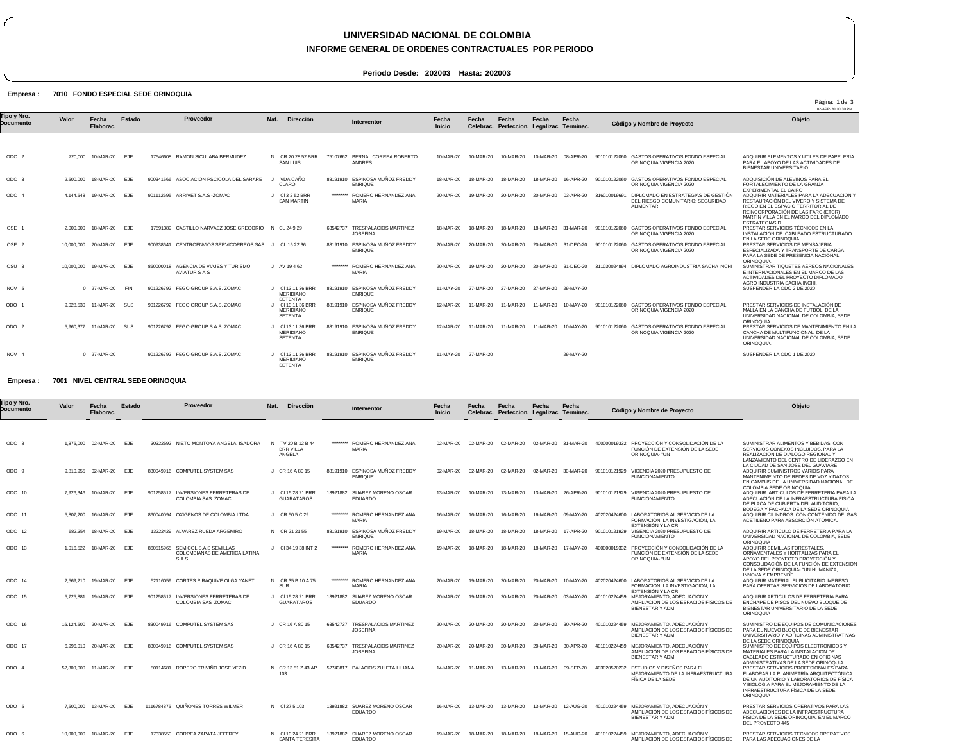## **UNIVERSIDAD NACIONAL DE COLOMBIA**

### **INFORME GENERAL DE ORDENES CONTRACTUALES POR PERIODO**

**Periodo Desde: 202003 Hasta: 202003**

#### **FONDO ESPECIAL SEDE ORINOQUIA 7010 Empresa :**

02-APR-20 10:30 PM Pàgina: 1 de 3 ODC 2 ODC 3 ODC 4 OSE 1 OSE 2 OSU 3 NOV 5 ODO 1 ODO 2 NOV 4 720,000 10-MAR-20 EJE 2,500,000 18-MAR-20 EJE 4,144,548 19-MAR-20 EJE 2,000,000 18-MAR-20 EJE 10,000,000 20-MAR-20 EJE 10,000,000 19-MAR-20 EJE 0 27-MAR-20 FIN 9,028,530 11-MAR-20 SUS 5,960,377 11-MAR-20 SUS 0 27-MAR-20 **Valor Fecha Elaborac. Estado** 17546608 RAMON SICULABA BERMUDEZ 900341566 ASOCIACION PSCICOLA DEL SARARE 901112695 ARRIVET S.A.S -ZOMAC 17591389 CASTILLO NARVAEZ JOSE GREGORIO N CL 24 9 29 900938641 CENTROENVIOS SERVICORREOS SAS J CL 15 22 36 860000018 AGENCIA DE VIAJES Y TURISMO AVIATUR S A S 901226792 FEGO GROUP S.A.S. ZOMAC 901226792 FEGO GROUP S.A.S. ZOMAC 901226792 FEGO GROUP S.A.S. ZOMAC 901226792 FEGO GROUP S.A.S. ZOMAC N CR 20 28 52 BRR J J Cl 3 2 52 BRR SAN MARTIN J AV 19 4 62 J Cl 13 11 36 BRR MERIDIANO J SETENTA Cl 13 11 36 BRR J Cl 13 11 36 BRR J Cl 13 11 36 BRR MERIDIANO **Nat. Direcciòn** SAN LUIS VDA CAÑO CLARO MERIDIANO SETENTA MERIDIANO SETENTA SETENTA 75107662 BERNAL CORREA ROBERTO 88191910 ESPINOSA MUÑOZ FREDDY ENRIQUE \*\*\*\*\*\*\*\*\* ROMERO HERNANDEZ ANA 63542737 TRESPALACIOS MARTINEZ JOSEFINA 88191910 ESPINOSA MUÑOZ FREDDY ENRIQUE \*\*\*\*\*\*\*\*\* 88191910 ESPINOSA MUÑOZ FREDDY ENRIQUE 88191910 ESPINOSA MUÑOZ FREDDY ENRIQUE 88191910 ESPINOSA MUÑOZ FREDDY 88191910 ESPINOSA MUÑOZ FREDDY ENRIQUE ANDRES MARIA ROMERO HERNANDEZ ANA MARIA ENRIQUE 10-MAR-20 10-MAR-20 10-MAR-20 10-MAR-20 08-APR-20 901010122060 GASTOS OPERATIVOS FONDO ESPECIAL 18-MAR-20 20-MAR-20 18-MAR-20 18-MAR-20 18-MAR-20 18-MAR-20 31-MAR-20 901010122060 GASTOS OPERATIVOS FONDO ESPECIAL ORINOQUIA VIGENCIA 2020 20-MAR-20 20-MAR-20 20-MAR-20 20-MAR-20 31-DEC-20 901010122060 GASTOS OPERATIVOS FONDO ESPECIAL ORINOQUIA VIGENCIA 2020 20-MAR-20 19-MAR-20 20-MAR-20 20-MAR-20 31-DEC-20 311030024894 DIPLOMADO AGROINDUSTRIA SACHA INCHI 11-MAY-20 27-MAR-20 27-MAR-20 27-MAR-20 29-MAY-20 12-MAR-20 12-MAR-20 11-MAR-20 11-MAR-20 11-MAR-20 10-MAY-20 901010122060 GASTOS OPERATIVOS FONDO ESPECIAL 11-MAY-20 27-MAR-20 **Fecha Inicio** 18-MAR-20 18-MAR-20 18-MAR-20 16-APR-20 901010122060 GASTOS OPERATIVOS FONDO ESPECIAL ORINOQUIA VIGENCIA 2020 19-MAR-20 20-MAR-20 20-MAR-20 03-APR-20 316010019691 DIPLOMADO EN ESTRATEGIAS DE GESTIÓN DEL RIESGO COMUNITARIO: SEGURIDAD 11-MAR-20 11-MAR-20 11-MAR-20 10-MAY-20 901010122060 GASTOS OPERATIVOS FONDO ESPECIAL ORINOQUIA VIGENCIA 2020 **Fecha Celebrac. Fecha Perfeccion. Legalizac Terminac. Fecha** 29-MAY-20 **Fecha** ORINOQUIA VIGENCIA 2020 ALIMENTARI ORINOQUIA VIGENCIA 202 ADQUIRIR ELEMENTOS Y UTILES DE PAPELERIA PARA EL APOYO DE LAS ACTIVIDADES DE BIENESTAR UNIVERSITARIO ADQUISICIÓN DE ALEVINOS PARA EL FORTALECIMIENTO DE LA GRANJA EXPERIMENTAL EL CAIRO ADQUIRIR MATERIALES PARA LA ADECUACION Y<br>RESTAURACIÓN DEL VIVERO Y SISTEMA DE<br>REINCORPORACIÓN DE LAS FARC (ETCR)<br>REINCORPORACIÓN DE LAS FARC (ETCR)<br>MARTIN VILLA EN EL MARCO DEL DIPLOMADO<br>ESTRATEGIAS D PRESTAR SERVICIOS TECNICOS EN LA<br>INSTALACION DE CABLEADO ESTRUCTURADO<br>EN LA SEDE ORINOQUIA<br>PRESTAR SERVICIOS DE MENSAJERIA<br>ESPECIALIZADA Y TRANSPORTE DE CARGA PARA LA SEDE DE PRESENCIA NACIONAL ORINOQUIA. SUMINISTRAR TIQUETES AÉREOS NACIONALES<br>E INTERNACIONALES EN EL MARCO DE LAS<br>ACTIVIDADES DEL PROYECTO DIPLOMADO<br>AGRO INDUSTRIA SACHA INCHI. SUSPENDER LA ODO 2 DE 2020 PRESTAR SERVICIOS DE INSTALACIÓN DE MALLA EN LA CANCHA DE FUTBOL DE LA UNIVERSIDAD NACIONAL DE COLOMBIA, SEDE ORINOQUIA PRESTAR SERVICIOS DE MANTENIMIENTO EN LA CANCHA DE MULTIFUNCIONAL DE LA UNIVERSIDAD NACIONAL DE COLOMBIA, SEDE ORINOQUIA. SUSPENDER LA ODO 1 DE 2020 **Objeto Tipo y Nro. Documento Proveedor Interventor Còdigo y Nombre de Proyecto**

#### **NIVEL CENTRAL SEDE ORINOQUIA 7001 Empresa :**

| Γipo y Nro.<br>Documento | Valor     | Fecha<br>Elaborac.    | <b>Estado</b> |           | Proveedor                                                        | <b>Dirección</b><br>Nat.                        | Interventor                                                 | Fecha<br>Inicio | Fecha     | Fecha<br>Celebrac. Perfeccion. Legalizac Terminac. | Fecha     | Fecha                |              | Còdigo y Nombre de Proyecto                                                                                | Objeto                                                                                                                                                                                                                       |
|--------------------------|-----------|-----------------------|---------------|-----------|------------------------------------------------------------------|-------------------------------------------------|-------------------------------------------------------------|-----------------|-----------|----------------------------------------------------|-----------|----------------------|--------------|------------------------------------------------------------------------------------------------------------|------------------------------------------------------------------------------------------------------------------------------------------------------------------------------------------------------------------------------|
|                          |           |                       |               |           |                                                                  |                                                 |                                                             |                 |           |                                                    |           |                      |              |                                                                                                            |                                                                                                                                                                                                                              |
| ODC 8                    |           | 1,875,000 02-MAR-20   | EJE           |           | 30322592 NIETO MONTOYA ANGELA ISADORA                            | N TV 20 B 12 B 44<br><b>BRR VILLA</b><br>ANGELA | ********* ROMERO HERNANDEZ ANA<br><b>MARIA</b>              | 02-MAR-20       | 02-MAR-20 | 02-MAR-20                                          |           | 02-MAR-20 31-MAR-20  |              | 400000019332 PROYECCIÓN Y CONSOLIDACIÓN DE LA<br>FUNCIÓN DE EXTENSIÓN DE LA SEDE<br>ORINOQUIA- "UN         | SUMINISTRAR ALIMENTOS Y BEBIDAS, CON<br>SERVICIOS CONEXOS INCLUIDOS, PARA LA<br>REALIZACION DE DIALOGO REGIONAL Y<br>LANZAMIENTO DEL CENTRO DE LIDERAZGO EN                                                                  |
| ODC 9                    |           | 9,810,955 02-MAR-20   | EJE           |           | 830049916 COMPUTEL SYSTEM SAS                                    | J CR 16 A 80 15                                 | 88191910 ESPINOSA MUÑOZ FREDDY<br><b>ENRIQUE</b>            | 02-MAR-20       | 02-MAR-20 | 02-MAR-20                                          |           | 02-MAR-20 30-MAR-20  | 901010121929 | VIGENCIA 2020 PRESUPUESTO DE<br><b>FUNCIONAMIENTO</b>                                                      | LA CIUDAD DE SAN JOSE DEL GUAVIARE<br>ADQUIRIR SUMINISTROS VARIOS PARA<br>MANTENIMEINTO DE REDES DE VOZ Y DATOS<br>EN CAMPUS DE LA UNIVERSIDAD NACIONAL DE<br>COLOMBIA SEDE ORINOQUIA                                        |
| ODC 10                   |           | 7,926,346 10-MAR-20   | EJE           |           | 901258517 INVERSIONES FERRETERAS DE<br>COLOMBIA SAS ZOMAC        | J CI 15 28 21 BRR<br>GUARATAROS                 | 13921882<br>SUAREZ MORENO OSCAR<br><b>EDUARDO</b>           | 13-MAR-20       | 10-MAR-20 | 13-MAR-20                                          | 13-MAR-20 | 26-APR-20            | 901010121929 | VIGENCIA 2020 PRESUPUESTO DE<br><b>FUNCIONAMIENTO</b>                                                      | ADQUIRIR ARTICULOS DE FERRETERIA PARA LA<br>ADECUACIÓN DE LA INFRAESTRUCTURA FISICA<br>DE PLACA DE CUBIERTA DEL AUDITORIO.                                                                                                   |
| ODC 11                   |           | 5,807,200 16-MAR-20   | EJE           |           | 860040094 OXIGENOS DE COLOMBIA LTDA                              | J CR 50 5 C 29                                  | ********* ROMERO HERNANDEZ ANA<br><b>MARIA</b>              | 16-MAR-20       | 16-MAR-20 | 16-MAR-20                                          |           | 16-MAR-20 09-MAY-20  | 402020424600 | LABORATORIOS AL SERVICIO DE LA<br>FORMACIÓN. LA INVESTIGACIÓN. LA<br>EXTENSION Y LA CR                     | BODEGA Y FACHADA DE LA SEDE ORINOQUIA<br>ADQUIRIR CILINDROS CON CONTENIDO DE GAS<br>ACETILENO PARA ABSORCIÓN ATÓMICA                                                                                                         |
| ODC 12                   | 582.354   | 18-MAR-20             | EJE           |           | 13222429 ALVAREZ RUEDA ARGEMIRO                                  | N CR 21 21 55                                   | ESPINOSA MUÑOZ FREDDY<br>88191910<br><b>ENRIQUE</b>         | 19-MAR-20       | 18-MAR-20 | 18-MAR-20                                          | 18-MAR-20 | 17-APR-20            | 901010121929 | VIGENCIA 2020 PRESUPUESTO DE<br><b>FUNCIONAMIENTO</b>                                                      | ADQUIRIR ARTICULO DE FERRETERIA PARA LA<br>UNIVERSIDAD NACIONAL DE COLOMBIA, SEDE                                                                                                                                            |
| ODC 13                   | 1.016.522 | 18-MAR-20             | EJE           | 860515965 | SEMICOL S.A.S SEMILLAS<br>COLOMBIANAS DE AMERICA LATINA<br>S.A.S | J CI 34 19 38 INT 2                             | ********* ROMERO HERNANDEZ ANA<br><b>MARIA</b>              | 19-MAR-20       | 18-MAR-20 | 18-MAR-20                                          | 18-MAR-20 | 17-MAY-20            | 400000019332 | PROYECCIÓN Y CONSOLIDACIÓN DE LA<br>FUNCIÓN DE EXTENSIÓN DE LA SEDE<br>ORINOQUIA- "UN                      | ORINOQUIA<br>ADQUIRIR SEMILLAS FORESTALES<br>ORNAMENTALES Y HORTALIZAS PARA EL<br>APOYO DEL PROYECTO PROYECCIÓN Y<br>CONSOLIDACIÓN DE LA FUNCIÓN DE EXTENSIÓN<br>DE LA SEDE ORINOQUIA- "UN HUMANIZA.                         |
| ODC 14                   | 2.569.210 | 19-MAR-20             | EJE           |           | 52116059 CORTES PIRAQUIVE OLGA YANET                             | N CR 35 B 10 A 75<br><b>SUR</b>                 | ********* ROMERO HERNANDEZ ANA<br><b>MARIA</b>              | 20-MAR-20       | 19-MAR-20 | 20-MAR-20                                          | 20-MAR-20 | 10-MAY-20            | 402020424600 | LABORATORIOS AL SERVICIO DE LA<br>FORMACIÓN, LA INVESTIGACIÓN, LA<br>EXTENSION Y LA CR                     | <b>INNOVA Y EMPRENDE</b><br>ADQUIRIR MATERIAL PUBLICITARIO IMPRESO<br>PARA OFERTAR SERVICIOS DE LABORATORIO                                                                                                                  |
| ODC 15                   | 5,725,881 | 19-MAR-20             | <b>EJE</b>    |           | 901258517 INVERSIONES FERRETERAS DE<br>COLOMBIA SAS ZOMAC        | CI 15 28 21 BRR<br><b>GUARATAROS</b>            | 13921882 SUAREZ MORENO OSCAR<br><b>EDUARDO</b>              | 20-MAR-20       | 19-MAR-20 | 20-MAR-20                                          |           | 20-MAR-20 03-MAY-20  |              | 401010224459 MEJORAMIENTO, ADECUACIÓN Y<br>AMPLIACIÓN DE LOS ESPACIOS FÍSICOS DE<br><b>BIENESTAR Y ADM</b> | ADQUIRIR ARTICULOS DE FERRETERIA PARA<br>ENCHAPE DE PISOS DEL NUEVO BLOQUE DE<br>BIENESTAR UNIVERSITARIO DE LA SEDE<br><b>ORINOQUIA</b>                                                                                      |
| ODC 16                   |           | 16,124,500 20-MAR-20  | EJE           |           | 830049916 COMPUTEL SYSTEM SAS                                    | J CR 16 A 80 15                                 | 63542737 TRESPALACIOS MARTINEZ<br><b>JOSEFINA</b>           | 20-MAR-20       | 20-MAR-20 | 20-MAR-20                                          |           | 20-MAR-20 30-APR-20  | 401010224459 | MEJORAMIENTO, ADECUACIÓN Y<br>AMPLIACIÓN DE LOS ESPACIOS FÍSICOS DE<br><b>BIENESTAR Y ADM</b>              | SUMINISTRO DE EQUIPOS DE COMUNICACIONES<br>PARA EL NUEVO BLOQUE DE BIENESTAR<br>UNIVERSITARIO Y AOFICINAS ADMINISTRATIVAS<br>DE LA SEDE ORINOQUIA                                                                            |
| ODC 17                   |           | 6,996,010 20-MAR-20   | EJE           |           | 830049916 COMPUTEL SYSTEM SAS                                    | J CR 16 A 80 15                                 | <b>TRESPALACIOS MARTINEZ</b><br>63542737<br><b>JOSEFINA</b> | 20-MAR-20       | 20-MAR-20 | 20-MAR-20                                          | 20-MAR-20 | 30-APR-20            | 401010224459 | MEJORAMIENTO, ADECUACIÓN Y<br>AMPLIACIÓN DE LOS ESPACIOS FÍSICOS DE<br><b>BIENESTAR Y ADM</b>              | SUMINISTRO DE EQUIPOS ELECTRONICOS Y<br>MATERIALES PARA LA INSTALACION DE<br>CABLEADO ESTRUCTURADO EN OFICINAS<br>ADMINISTRATIVAS DE LA SEDE ORINOQUIA                                                                       |
| ODO 4                    |           | 52,800,000 11-MAR-20  | EJE           | 80114681  | ROPERO TRIVIÑO JOSE YEZID                                        | N CR 1351 Z 43 AP<br>103                        | 52743817 PALACIOS ZULETA LILIANA                            | 14-MAR-20       | 11-MAR-20 | 13-MAR-20                                          | 13-MAR-20 | 09-SEP-20            | 403020520232 | ESTUDIOS Y DISEÑOS PARA EL<br>MEJORAMIENTO DE LA INFRAESTRUCTURA<br><b>FISICA DE LA SEDE</b>               | PRESTAR SERVICIOS PROFESIONALES PARA<br>ELABORAR LA PLANIMETRÍA ARQUITECTÓNICA<br>DE UN AUDITORIO Y LABORATORIOS DE FÍSICA<br>Y BIOLOGÍA PARA EL MEJORAMIENTO DE LA<br>INFRAESTRUCTURA FÍSICA DE LA SEDE<br><b>ORINOQUIA</b> |
| ODO 5                    |           | 7.500.000 13-MAR-20   | EJE           |           | 1116784875 QUIÑONES TORRES WILMER                                | N CI 27 5 103                                   | 13921882 SUAREZ MORENO OSCAR<br><b>EDUARDO</b>              | 16-MAR-20       | 13-MAR-20 | 13-MAR-20                                          |           | 13-MAR-20  12-AUG-20 |              | 401010224459 MEJORAMIENTO, ADECUACIÓN Y<br>AMPLIACIÓN DE LOS ESPACIOS FÍSICOS DE<br><b>BIENESTAR Y ADM</b> | PRESTAR SERVICIOS OPERATIVOS PARA LAS<br>ADECUACIONES DE LA INFRAESTRUCTURA<br>FISICA DE LA SEDE ORINOQUIA. EN EL MARCO<br>DEL PROYECTO 445                                                                                  |
| ODO 6                    |           | 10.000.000  18-MAR-20 | EJE           |           | 17338550 CORREA ZAPATA JEFFREY                                   | N CI 13 24 21 BRR<br><b>SANTA TERESITA</b>      | 13921882 SUAREZ MORENO OSCAR<br><b>EDUARDO</b>              | 19-MAR-20       | 18-MAR-20 | 18-MAR-20                                          | 18-MAR-20 | 15-AUG-20            | 401010224459 | MEJORAMIENTO, ADECUACIÓN Y<br>AMPLIACIÓN DE LOS ESPACIOS FÍSICOS DE                                        | PRESTAR SERVICIOS TECNICOS OPERATIVOS<br>PARA LAS ADECUACIONES DE LA                                                                                                                                                         |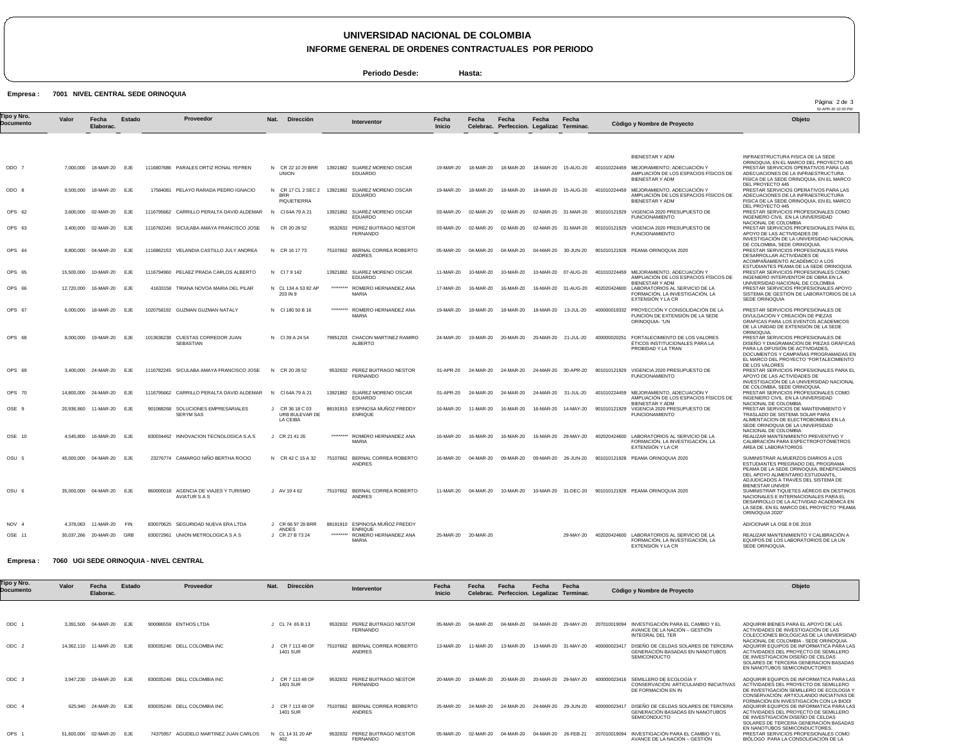# **UNIVERSIDAD NACIONAL DE COLOMBIA**

**INFORME GENERAL DE ORDENES CONTRACTUALES POR PERIODO**

**Periodo Desde: Hasta:**

### Empresa : 7001 NIVEL CENTRAL SEDE ORINOQUIA

| Tipo y Nro.<br>Documento | Valor      | Fecha<br>Elaborac.       | Estado     |            | Proveedor                                              | Nat.<br>Direcciòn                                                   |           | Interventor                                                       | Fecha<br><b>Inicio</b> | Fecha               | Fecha<br>Celebrac. Perfeccion. Legalizac Terminac. | Fecha               | Fecha                | Còdigo y Nombre de Proyecto                                                                                               | Objeto                                                                                                                                                                                                               |
|--------------------------|------------|--------------------------|------------|------------|--------------------------------------------------------|---------------------------------------------------------------------|-----------|-------------------------------------------------------------------|------------------------|---------------------|----------------------------------------------------|---------------------|----------------------|---------------------------------------------------------------------------------------------------------------------------|----------------------------------------------------------------------------------------------------------------------------------------------------------------------------------------------------------------------|
|                          |            |                          |            |            |                                                        |                                                                     |           |                                                                   |                        |                     |                                                    |                     |                      |                                                                                                                           |                                                                                                                                                                                                                      |
|                          |            |                          |            |            |                                                        |                                                                     |           |                                                                   |                        |                     |                                                    |                     |                      | BIENESTAR Y ADM                                                                                                           | INFRAESTRUCTURA FISICA DE LA SEDE<br>ORINOQUIA, EN EL MARCO DEL PROYECTO 445                                                                                                                                         |
| ODO 7                    |            | 7,000,000 18-MAR-20      | EJE        |            | 1116807686 PARALES ORTIZ RONAL YEFREN                  | N CR 22 10 29 BRR<br><b>UNION</b>                                   |           | 13921882 SUAREZ MORENO OSCAR<br><b>EDUARDO</b>                    | 19-MAR-20              | 18-MAR-20           | 18-MAR-20                                          |                     | 18-MAR-20  15-AUG-20 | 401010224459 MEJORAMIENTO, ADECUACIÓN Y<br>AMPLIACIÓN DE LOS ESPACIOS FÍSICOS DE<br>BIENESTAR Y ADM                       | PRESTAR SERVICIOS OPERATIVOS PARA LAS<br>ADECUACIONES DE LA INFRAESTRUCTURA<br>FISICA DE LA SEDE ORINOQUIA, EN EL MARCO<br>DEL PROYECTO 445                                                                          |
| ODO 8                    |            | 8,500,000 18-MAR-20      | E.JF       |            | 17584081 PELAYO RARADA PEDRO IGNACIO                   | <b>BRR</b><br>PIQUETIERRA                                           |           | N CR 17 CL 2 SEC 2 13921882 SUAREZ MORENO OSCAR<br><b>EDUARDO</b> | 19-MAR-20              | 18-MAR-20           | 18-MAR-20                                          | 18-MAR-20           | 15-AUG-20            | 401010224459 MEJORAMIENTO, ADECUACIÓN Y<br>AMPLIACIÓN DE LOS ESPACIOS FÍSICOS DE<br><b>BIENESTAR Y ADM</b>                | PRESTAR SERVICIOS OPERATIVOS PARA LAS<br>ADECUACIONES DE LA INFRAESTRUCTURA<br>FISICA DE LA SEDE ORINOQUIA, EN EL MARCO<br>DEL PROYECTO 445                                                                          |
| OPS 62                   | 3,600,000  | 02-MAR-20                | EJE        |            | 1116795662 CARRILLO PERALTA DAVID ALDEMAR              | N CI 64A 79 A 21                                                    | 13921882  | SUAREZ MORENO OSCAR<br>EDUARDO                                    | 03-MAR-20              | 02-MAR-20           | 02-MAR-20                                          |                     | 02-MAR-20 31-MAR-20  | 901010121929 VIGENCIA 2020 PRESUPUESTO DE<br><b>FUNCIONAMIENTO</b>                                                        | PRESTAR SERVICIOS PROFESIONALES COMO<br>INGENIERO CIVIL EN LA UNIVERSIDAD<br>NACIONAL DE COLOMBIA                                                                                                                    |
| OPS 63                   |            | 3,400,000 02-MAR-20      | EJE        |            | 1116782245 SICULABA AMAYA FRANCISCO JOSE               | N CR 20 28 52                                                       |           | 9532832 PEREZ BUITRAGO NESTOR<br><b>FERNANDO</b>                  | 03-MAR-20              | 02-MAR-20           | 02-MAR-20                                          |                     | 02-MAR-20 31-MAR-20  | 901010121929 VIGENCIA 2020 PRESUPUESTO DE<br><b>FUNCIONAMIENTO</b>                                                        | PRESTAR SERVICIOS PROFESIONALES PARA EL<br>APOYO DE LAS ACTIVIDADES DE<br>INVESTIGACIÓN DE LA UNIVERSIDAD NACIONAL                                                                                                   |
| OPS 64                   |            | 8,800,000 04-MAR-20 EJE  |            |            | 1116862153 VELANDIA CASTILLO JULY ANDREA               | N CR 16 17 73                                                       |           | 75107662 BERNAL CORREA ROBERTO<br><b>ANDRES</b>                   | 05-MAR-20              | 04-MAR-20           | 04-MAR-20                                          | 04-MAR-20 30-JUN-20 |                      | 901010121928 PEAMA ORINOQUIA 2020                                                                                         | DE COLOMBIA, SEDE ORINOQUIA.<br>PRESTAR SERVICIOS PROFESIONALES PARA<br>DESARROLLAR ACTIVIDADES DE<br>ACOMPAÑAMIENTO ACADÉMICO A LOS                                                                                 |
| OPS 65                   |            | 15.500.000 10-MAR-20     | EJE        |            | 1116794960 PELAEZ PRADA CARLOS ALBERTO                 | N CI79142                                                           |           | 13921882 SUAREZ MORENO OSCAR<br><b>EDUARDO</b>                    | 11-MAR-20              | 10-MAR-20           | 10-MAR-20                                          |                     | 10-MAR-20 07-AUG-20  | 401010224459 MEJORAMIENTO, ADECUACIÓN Y<br>AMPLIACIÓN DE LOS ESPACIOS FÍSICOS DE                                          | ESTUDIANTES PEAMA DE LA SEDE ORINOQUIA<br>PRESTAR SERVICIOS PROFESIONALES COMO<br>INGENIERO INTERVENTOR DE OBRA EN LA                                                                                                |
| OPS 66                   |            | 12,720,000 16-MAR-20     | E.JE       |            | 41633158 TRIANA NOVOA MARIA DEL PILAR                  | N CL 134 A 53 82 AP<br>203 IN 9                                     | ********* | ROMERO HERNANDEZ ANA<br><b>MARIA</b>                              | 17-MAR-20              | 16-MAR-20           | 16-MAR-20                                          |                     | 16-MAR-20 31-AUG-20  | BIENESTAR Y ADM<br>402020424600<br>LABORATORIOS AL SERVICIO DE LA<br>FORMACIÓN, LA INVESTIGACIÓN, LA<br>EXTENSIÓN Y LA CR | UNIVERSIDAD NACIONAL DE COLOMBIA<br>PRESTAR SERVICIOS PROFESIONALES APOYO<br>SISTEMA DE GESTIÓN DE LABORATORIOS DE LA<br>SEDE ORINOQUIA                                                                              |
| OPS 67                   | 6,000,000  | 18-MAR-20                | EJE        |            | 1020758192 GUZMAN GUZMAN NATALY                        | N CI 180 50 B 16                                                    | ********* | ROMERO HERNANDEZ ANA<br><b>MARIA</b>                              | 19-MAR-20              | 18-MAR-20           | 18-MAR-20                                          | 18-MAR-20           | 13-JUL-20            | PROYECCIÓN Y CONSOLIDACIÓN DE LA<br>400000019332<br>FUNCIÓN DE EXTENSIÓN DE LA SEDE<br>ORINOQUIA- "UN                     | PRESTAR SERVICIOS PROFESIONALES DE<br>DIVULGACIÓN Y CREACIÓN DE PIEZAS<br>GRAFICAS PARA LOS EVENTOS ACADEMICOS<br>DE LA UNIDAD DE EXTENSIÓN DE LA SEDE                                                               |
| OPS 68                   |            | 8.000.000 19-MAR-20      | <b>EJE</b> | 1013636238 | CUESTAS CORREDOR JUAN<br><b>SEBASTIAN</b>              | N CI 39 A 24 54                                                     |           | 79951203 CHACON MARTINEZ RAMIRO<br><b>ALBERTO</b>                 | 24-MAR-20              | 19-MAR-20           | 20-MAR-20                                          | 20-MAR-20 21-JUL-20 |                      | 400000020251<br>FORTALECIMIENTO DE LOS VALORES<br>ÉTICOS INSTITUCIONALES PARA LA<br>PROBIDAD Y LA TRAN                    | ORINOQUIA.<br>PRESTAR SERVICIOS PROFESIONALES DE<br>DISEÑO Y DIAGRAMACIÓN DE PIEZAS GRÁFICAS<br>PARA LA DIFUSIÓN DE ACTIVIDADES.<br>DOCUMENTOS Y CAMPAÑAS PROGRAMADAS EN<br>EL MARCO DEL PROYECTO "FORTALECIMIENTO   |
| OPS 69                   |            | 3.400.000 24-MAR-20      | EJE        |            | 1116782245 SICULABA AMAYA FRANCISCO JOSE               | N CR 20 28 52                                                       | 9532832   | PEREZ BUITRAGO NESTOR<br><b>FERNANDO</b>                          | 01-APR-20              | 24-MAR-20           | 24-MAR-20                                          | 24-MAR-20           | 30-APR-20            | 901010121929 VIGENCIA 2020 PRESUPUESTO DE<br><b>FUNCIONAMIENTO</b>                                                        | DE LOS VALORES<br>PRESTAR SERVICIOS PROFESIONALES PARA EL<br>APOYO DE LAS ACTIVIDADES DE<br>INVESTIGACIÓN DE LA UNIVERSIDAD NACIONAL                                                                                 |
| OPS 70                   | 14.800.000 | 24-MAR-20                | EJE        |            | 1116795662 CARRILLO PERALTA DAVID ALDEMAR              | N<br>CI 64A 79 A 21                                                 | 13921882  | SUAREZ MORENO OSCAR<br>EDUARDO                                    | 01-APR-20              | 24-MAR-20           | 24-MAR-20                                          | 24-MAR-20           | 31-JUL-20            | 401010224459 MEJORAMIENTO, ADECUACIÓN Y<br>AMPLIACIÓN DE LOS ESPACIOS FÍSICOS DE<br>BIENESTAR Y ADM                       | DE COLOMBIA, SEDE ORINOQUIA,<br>PRESTAR SERVICIOS PROFESIONALES COMO<br>INGENIERO CIVIL EN LA UNIVERSIDAD                                                                                                            |
| OSE <sub>9</sub>         |            | 20.936.860 11-MAR-20     | EJE        |            | 901088268 SOLUCIONES EMPRESARIALES<br><b>SERYM SAS</b> | CR 36 18 C 03<br>$\cdot$ <sub>1</sub><br>URB BULEVAR DE<br>LA CEIBA |           | 88191910 ESPINOSA MUÑOZ FREDDY<br><b>ENRIQUE</b>                  | 16-MAR-20              | 11-MAR-20           | 16-MAR-20                                          |                     | 16-MAR-20 14-MAY-20  | VIGENCIA 2020 PRESUPUESTO DE<br>901010121929<br><b>FUNCIONAMIENTO</b>                                                     | NACIONAL DE COLOMBIA<br>PRESTAR SERVICIOS DE MANTENIMIENTO Y<br>TRASLADO DE SISTEMA SOLAR PARA<br>ALIMENTACION DE ELECTROBOMBAS EN LA<br>SEDE ORINOQUIA DE LA UNIVERSIDAD<br>NACIONAL DE COLOMBIA                    |
| OSE 10                   |            | 4.545.800 16-MAR-20      | <b>EJE</b> |            | 830034462 INNOVACION TECNOLOGICA S.A.S                 | J CR 21 41 26                                                       | ********* | ROMERO HERNANDEZ ANA<br>MARIA                                     | 16-MAR-20              | 16-MAR-20           | 16-MAR-20                                          |                     | 16-MAR-20 29-MAY-20  | 402020424600 LABORATORIOS AL SERVICIO DE LA<br>FORMACIÓN, LA INVESTIGACIÓN, LA<br>EXTENSIÓN Y LA CR                       | REALIZAR MANTENIMIENTO PREVENTIVO Y<br>CALIBRACIÓN PARA ESPECTROFOTÓMETROS<br>ÁREA DE LABORATORIOS                                                                                                                   |
| OSU <sub>5</sub>         |            | 45,000,000 04-MAR-20     | EJE        |            | 23276774 CAMARGO NIÑO BERTHA ROCIO                     | N CR 42 C 15 A 32                                                   |           | 75107662 BERNAL CORREA ROBERTO<br>ANDRES                          | 16-MAR-20              | 04-MAR-20           | 09-MAR-20                                          | 09-MAR-20 26-JUN-20 |                      | 901010121928 PEAMA ORINOQUIA 2020                                                                                         | SUMINISTRAR ALMUERZOS DIARIOS A LOS<br>ESTUDIANTES PREGRADO DEL PROGRAMA<br>PEAMA DE LA SEDE ORINOQUIA, BENEFICIARIOS<br>DEL APOYO ALIMENTARIO ESTUDIANTIL.<br>ADJUDICADOS A TRAVÉS DEL SISTEMA DE                   |
| OSU 6                    |            | 35,000,000 04-MAR-20     | EJE        |            | 860000018 AGENCIA DE VIAJES Y TURISMO<br>AVIATUR S A S | J AV 19462                                                          | 75107662  | BERNAL CORREA ROBERTO<br><b>ANDRES</b>                            | 11-MAR-20              | 04-MAR-20           | 10-MAR-20                                          |                     | 10-MAR-20 31-DEC-20  | 901010121928 PEAMA ORINOQUIA 2020                                                                                         | <b>BIENESTAR UNIVER</b><br>SUMINISTRAR TIQUETES AÉREOS EN DESTINOS<br>NACIONALES E INTERNACIONALES PARA EL<br>DESARROLLO DE LA ACTIVIDAD ACADÉMICA EN<br>LA SEDE, EN EL MARCO DEL PROYECTO "PEAMA<br>ORINOQUIA 2020" |
| NOV 4                    |            | 4.378.063 11-MAR-20      | <b>FIN</b> |            | 830070625 SEGURIDAD NUEVA ERA LTDA                     | J CR 66 97 28 BRR<br>ANDES                                          |           | 88191910 ESPINOSA MUÑOZ FREDDY<br><b>ENRIQUE</b>                  |                        |                     |                                                    |                     |                      |                                                                                                                           | ADICIONAR LA OSE 8 DE 2019                                                                                                                                                                                           |
| OSE 11                   |            | 30,037,266 20-MAR-20 GRB |            |            | 830072961 UNION METROLOGICA S A S                      | J CR 27 B 73 24                                                     |           | ROMERO HERNANDEZ ANA<br><b>MARIA</b>                              |                        | 25-MAR-20 20-MAR-20 |                                                    |                     | 29-MAY-20            | 402020424600 LABORATORIOS AL SERVICIO DE LA<br>FORMACIÓN, LA INVESTIGACIÓN, LA<br>EXTENSIÓN Y LA CR                       | REALIZAR MANTENIMIENTO Y CALIBRACIÓN A<br>EQUIPOS DE LOS LABORATORIOS DE LA UN<br>SEDE ORINOQUIA.                                                                                                                    |

Empresa : 7060 UGI SEDE ORINOQUIA - NIVEL CENTRAL

| Tipo y Nro.<br>Documento | Valor      | Fecha<br>Elaborac. | Estado | Proveedor                                | Nat.<br><b>Dirección</b>          | Interventor                                         | Fecha<br>Inicio | Fecha<br>Celebrac. | Fecha<br>Perfeccion. Legalizac Terminac. | Fecha     | Fecha     | Còdigo y Nombre de Proyecto                                                                                   | Objeto                                                                                                                                                                                                               |
|--------------------------|------------|--------------------|--------|------------------------------------------|-----------------------------------|-----------------------------------------------------|-----------------|--------------------|------------------------------------------|-----------|-----------|---------------------------------------------------------------------------------------------------------------|----------------------------------------------------------------------------------------------------------------------------------------------------------------------------------------------------------------------|
|                          |            |                    |        |                                          |                                   |                                                     |                 |                    |                                          |           |           |                                                                                                               |                                                                                                                                                                                                                      |
| ODC                      | 3.391.500  | 04-MAR-20          | EJE    | 900086559 ENTHOS LTDA                    | J CL 74 65 B 13                   | PEREZ BUITRAGO NESTOR<br>9532832<br><b>FERNANDO</b> | 05-MAR-20       | 04-MAR-20          | 04-MAR-20                                | 04-MAR-20 | 29-MAY-20 | INVESTIGACIÓN PARA EL CAMBIO Y EL<br>207010019094<br>AVANCE DE LA NACIÓN - GESTIÓN<br><b>INTEGRAL DEL TER</b> | ADQUIRIR BIENES PARA EL APOYO DE LAS<br>ACTIVIDADES DE INVESTIGACIÓN DE LAS<br>COLECCIONES BIOLÓGICAS DE LA UNIVERSIDAD<br>NACIONAL DE COLOMBIA - SEDE ORINOQUIA.                                                    |
| ODC <sub>2</sub>         | 14.362.110 | 11-MAR-20          | EJE    | 830035246 DELL COLOMBIA INC              | CR 7 113 48 OF<br><b>1401 SUR</b> | BERNAL CORREA ROBERTO<br>75107662<br><b>ANDRES</b>  | 13-MAR-20       | 11-MAR-20          | 13-MAR-20                                | 13-MAR-20 | 31-MAY-20 | DISEÑO DE CELDAS SOLARES DE TERCERA<br>40000002341<br>GENERACIÓN BASADAS EN NANOTUBOS<br>SEMICONDUCTO         | ADQUIRIR EQUIPOS DE INFORMATICA PARA LAS<br>ACTIVIDADES DEL PROYECTO DE SEMILLERO<br>DE INVESTIGACION DISEÑO DE CELDAS<br>SOLARES DE TERCERA GENERACION BASADAS<br>EN NANOTUBOS SEMICONDUCTORES                      |
| ODC <sub>3</sub>         | 3.947.230  | 19-MAR-20          | EJE    | 830035246 DELL COLOMBIA INC              | CR 7 113 48 OF<br>1401 SUR        | PEREZ BUITRAGO NESTOR<br>9532832<br><b>FERNANDO</b> | 20-MAR-20       | 19-MAR-20          | 20-MAR-20                                | 20-MAR-20 | 29-MAY-20 | SEMILLERO DE ECOLOGÍA Y<br>400000023416<br>CONSERVACIÓN: ARTICULANDO INICIATIVAS<br>DE FORMACIÓN EN IN        | ADQUIRIR EQUIPOS DE INFORMATICA PARA LAS<br>ACTIVIDADES DEL PROYECTO DE SEMILLERO<br>DE INVESTIGACIÓN SEMILLERO DE ECOLOGÍA Y<br>CONSERVACIÓN: ARTICULANDO INICIATIVAS DE<br>FORMACIÓN EN INVESTIGACIÓN CON LA BIODI |
| ODC 4                    | 625.940    | 24-MAR-20          | EJE    | 830035246 DELL COLOMBIA INC              | CR 7 113 48 OF<br><b>1401 SUR</b> | BERNAL CORREA ROBERTO<br>75107662<br>ANDRES         | 25-MAR-20       | 24-MAR-20          | 24-MAR-20                                | 24-MAR-20 | 29-JUN-20 | DISEÑO DE CELDAS SOLARES DE TERCERA<br>400000023417<br>GENERACIÓN BASADAS EN NANOTUBOS<br><b>SEMICONDUCTO</b> | ADQUIRIR EQUIPOS DE INFORMATICA PARA LAS<br>ACTIVIDADES DEL PROYECTO DE SEMILLERO<br>DE INVESTIGACIÓN DISEÑO DE CELDAS<br>SOLARES DE TERCERA GENERACIÓN BASADAS<br>EN NANOTUBOS SEMICONDUCTORES.                     |
| <b>OPS</b>               | 51,600,000 | 02-MAR-20          | EJE    | AGUDELO MARTINEZ JUAN CARLOS<br>74375957 | N CL 14 31 20 AP<br>402           | PEREZ BUITRAGO NESTOR<br>9532832<br>FERNANDO        | 05-MAR-20       | 02-MAR-20          |                                          | 04-MAR-20 | 26-FEB-21 | INVESTIGACIÓN PARA EL CAMBIO Y EL<br>207010019094<br>AVANCE DE LA NACIÓN - GESTIÓN                            | PRESTAR SERVICIOS PROFESIONALES COMO<br>BIÓLOGO PARA LA CONSOLIDACIÓN DE LA                                                                                                                                          |

Pàgina: 2 de 3<br>02-APR-20 10:30 PM